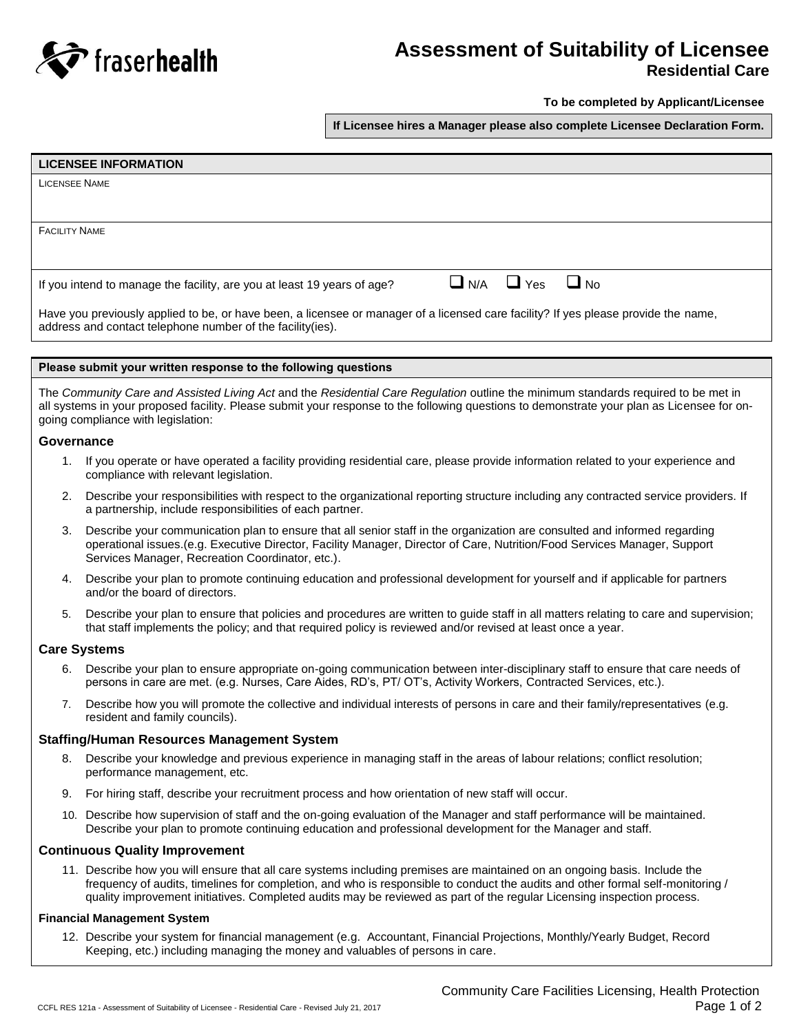

## **Assessment of Suitability of Licensee**

## **Residential Care**

**To be completed by Applicant/Licensee**

**If Licensee hires a Manager please also complete Licensee Declaration Form.**

| <b>LICENSEE INFORMATION</b>                                                                                                                                                                                                                                                                                            |                                                                                                                                                                                                                                                                                                                                                                                       |  |  |  |
|------------------------------------------------------------------------------------------------------------------------------------------------------------------------------------------------------------------------------------------------------------------------------------------------------------------------|---------------------------------------------------------------------------------------------------------------------------------------------------------------------------------------------------------------------------------------------------------------------------------------------------------------------------------------------------------------------------------------|--|--|--|
| <b>LICENSEE NAME</b>                                                                                                                                                                                                                                                                                                   |                                                                                                                                                                                                                                                                                                                                                                                       |  |  |  |
|                                                                                                                                                                                                                                                                                                                        |                                                                                                                                                                                                                                                                                                                                                                                       |  |  |  |
| <b>FACILITY NAME</b>                                                                                                                                                                                                                                                                                                   |                                                                                                                                                                                                                                                                                                                                                                                       |  |  |  |
|                                                                                                                                                                                                                                                                                                                        |                                                                                                                                                                                                                                                                                                                                                                                       |  |  |  |
| $\Box$ Yes<br>$\Box$ No<br>$\Box$ N/A<br>If you intend to manage the facility, are you at least 19 years of age?                                                                                                                                                                                                       |                                                                                                                                                                                                                                                                                                                                                                                       |  |  |  |
| Have you previously applied to be, or have been, a licensee or manager of a licensed care facility? If yes please provide the name,<br>address and contact telephone number of the facility(ies).                                                                                                                      |                                                                                                                                                                                                                                                                                                                                                                                       |  |  |  |
|                                                                                                                                                                                                                                                                                                                        |                                                                                                                                                                                                                                                                                                                                                                                       |  |  |  |
|                                                                                                                                                                                                                                                                                                                        | Please submit your written response to the following questions                                                                                                                                                                                                                                                                                                                        |  |  |  |
| The Community Care and Assisted Living Act and the Residential Care Regulation outline the minimum standards required to be met in<br>all systems in your proposed facility. Please submit your response to the following questions to demonstrate your plan as Licensee for on-<br>going compliance with legislation: |                                                                                                                                                                                                                                                                                                                                                                                       |  |  |  |
| Governance                                                                                                                                                                                                                                                                                                             |                                                                                                                                                                                                                                                                                                                                                                                       |  |  |  |
|                                                                                                                                                                                                                                                                                                                        | 1. If you operate or have operated a facility providing residential care, please provide information related to your experience and<br>compliance with relevant legislation.                                                                                                                                                                                                          |  |  |  |
| 2.                                                                                                                                                                                                                                                                                                                     | Describe your responsibilities with respect to the organizational reporting structure including any contracted service providers. If<br>a partnership, include responsibilities of each partner.                                                                                                                                                                                      |  |  |  |
| 3.                                                                                                                                                                                                                                                                                                                     | Describe your communication plan to ensure that all senior staff in the organization are consulted and informed regarding<br>operational issues.(e.g. Executive Director, Facility Manager, Director of Care, Nutrition/Food Services Manager, Support<br>Services Manager, Recreation Coordinator, etc.).                                                                            |  |  |  |
| 4.                                                                                                                                                                                                                                                                                                                     | Describe your plan to promote continuing education and professional development for yourself and if applicable for partners<br>and/or the board of directors.                                                                                                                                                                                                                         |  |  |  |
| 5.                                                                                                                                                                                                                                                                                                                     | Describe your plan to ensure that policies and procedures are written to guide staff in all matters relating to care and supervision;<br>that staff implements the policy; and that required policy is reviewed and/or revised at least once a year.                                                                                                                                  |  |  |  |
| <b>Care Systems</b>                                                                                                                                                                                                                                                                                                    |                                                                                                                                                                                                                                                                                                                                                                                       |  |  |  |
| 6.                                                                                                                                                                                                                                                                                                                     | Describe your plan to ensure appropriate on-going communication between inter-disciplinary staff to ensure that care needs of<br>persons in care are met. (e.g. Nurses, Care Aides, RD's, PT/ OT's, Activity Workers, Contracted Services, etc.).                                                                                                                                     |  |  |  |
| 7.                                                                                                                                                                                                                                                                                                                     | Describe how you will promote the collective and individual interests of persons in care and their family/representatives (e.g.<br>resident and family councils).                                                                                                                                                                                                                     |  |  |  |
| <b>Staffing/Human Resources Management System</b>                                                                                                                                                                                                                                                                      |                                                                                                                                                                                                                                                                                                                                                                                       |  |  |  |
| 8.                                                                                                                                                                                                                                                                                                                     | Describe your knowledge and previous experience in managing staff in the areas of labour relations; conflict resolution;<br>performance management, etc.                                                                                                                                                                                                                              |  |  |  |
| 9.                                                                                                                                                                                                                                                                                                                     | For hiring staff, describe your recruitment process and how orientation of new staff will occur.                                                                                                                                                                                                                                                                                      |  |  |  |
|                                                                                                                                                                                                                                                                                                                        | 10. Describe how supervision of staff and the on-going evaluation of the Manager and staff performance will be maintained.<br>Describe your plan to promote continuing education and professional development for the Manager and staff.                                                                                                                                              |  |  |  |
| <b>Continuous Quality Improvement</b>                                                                                                                                                                                                                                                                                  |                                                                                                                                                                                                                                                                                                                                                                                       |  |  |  |
|                                                                                                                                                                                                                                                                                                                        | 11. Describe how you will ensure that all care systems including premises are maintained on an ongoing basis. Include the<br>frequency of audits, timelines for completion, and who is responsible to conduct the audits and other formal self-monitoring /<br>quality improvement initiatives. Completed audits may be reviewed as part of the regular Licensing inspection process. |  |  |  |
| <b>Financial Management System</b>                                                                                                                                                                                                                                                                                     |                                                                                                                                                                                                                                                                                                                                                                                       |  |  |  |
|                                                                                                                                                                                                                                                                                                                        | 12. Describe your system for financial management (e.g. Accountant, Financial Projections, Monthly/Yearly Budget, Record<br>Keeping, etc.) including managing the money and valuables of persons in care.                                                                                                                                                                             |  |  |  |